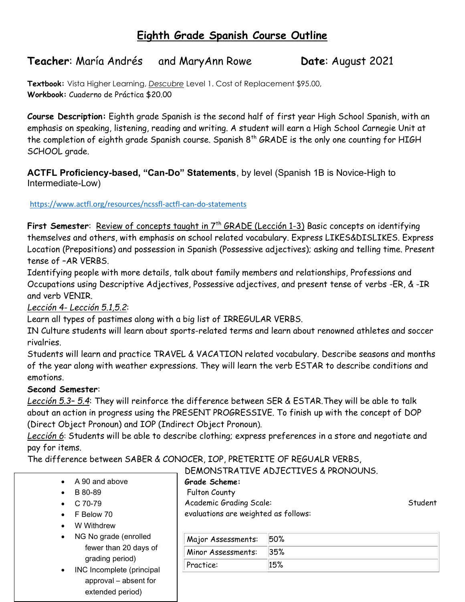# Eighth Grade Spanish Course Outline

# Teacher: María Andrés and MaryAnn Rowe Date: August 2021

Textbook: Vista Higher Learning, Descubre Level 1. Cost of Replacement \$95.00, Workbook: Cuaderno de Práctica \$20.00

Course Description: Eighth grade Spanish is the second half of first year High School Spanish, with an emphasis on speaking, listening, reading and writing. A student will earn a High School Carnegie Unit at the completion of eighth grade Spanish course. Spanish  $8<sup>th</sup>$  GRADE is the only one counting for HIGH SCHOOL grade.

ACTFL Proficiency-based, "Can-Do" Statements, by level (Spanish 1B is Novice-High to Intermediate-Low)

https://www.actfl.org/resources/ncssfl-actfl-can-do-statements

First Semester: Review of concepts taught in 7<sup>th</sup> GRADE (Lección 1-3) Basic concepts on identifying themselves and others, with emphasis on school related vocabulary. Express LIKES&DISLIKES. Express Location (Prepositions) and possession in Spanish (Possessive adjectives); asking and telling time. Present tense of –AR VERBS.

Identifying people with more details, talk about family members and relationships, Professions and Occupations using Descriptive Adjectives, Possessive adjectives, and present tense of verbs -ER, & -IR and verb VENIR.

Lección 4- Lección 5.1,5.2:

Learn all types of pastimes along with a big list of IRREGULAR VERBS.

IN Culture students will learn about sports-related terms and learn about renowned athletes and soccer rivalries.

Students will learn and practice TRAVEL & VACATION related vocabulary. Describe seasons and months of the year along with weather expressions. They will learn the verb ESTAR to describe conditions and emotions.

#### Second Semester:

Lección 5.3- 5.4: They will reinforce the difference between SER & ESTAR. They will be able to talk about an action in progress using the PRESENT PROGRESSIVE. To finish up with the concept of DOP (Direct Object Pronoun) and IOP (Indirect Object Pronoun).

Lección 6: Students will be able to describe clothing; express preferences in a store and negotiate and pay for items.

The difference between SABER & CONOCER, IOP, PRETERITE OF REGUALR VERBS,

| A 90 and above |  |
|----------------|--|
|----------------|--|

- $\bullet$  B 80-89
- $\bullet$  C 70-79
- F Below 70
- W Withdrew
- NG No grade (enrolled fewer than 20 days of grading period)
- INC Incomplete (principal approval – absent for extended period)

DEMONSTRATIVE ADJECTIVES & PRONOUNS. Grade Scheme:

Fulton County

Academic Grading Scale:

evaluations are weighted as follows:

| Major Assessments: | 50% |
|--------------------|-----|
| Minor Assessments: | 35% |
| Practice:          | 15% |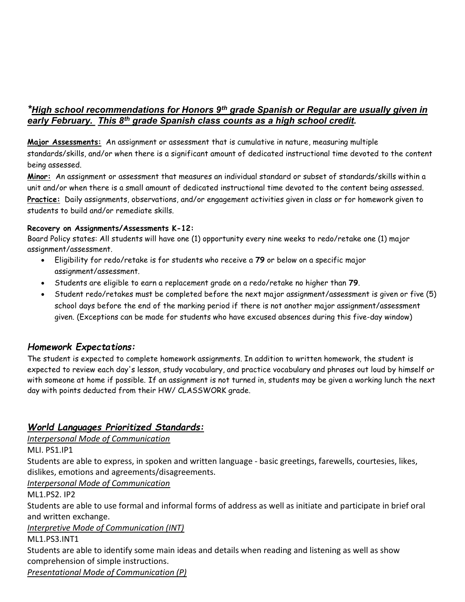### \*High school recommendations for Honors  $9<sup>th</sup>$  grade Spanish or Regular are usually given in early February. This 8<sup>th</sup> grade Spanish class counts as a high school credit.

Major Assessments: An assignment or assessment that is cumulative in nature, measuring multiple standards/skills, and/or when there is a significant amount of dedicated instructional time devoted to the content being assessed.

Minor: An assignment or assessment that measures an individual standard or subset of standards/skills within a unit and/or when there is a small amount of dedicated instructional time devoted to the content being assessed. Practice: Daily assignments, observations, and/or engagement activities given in class or for homework given to students to build and/or remediate skills.

#### Recovery on Assignments/Assessments K-12:

Board Policy states: All students will have one (1) opportunity every nine weeks to redo/retake one (1) major assignment/assessment.

- Eligibility for redo/retake is for students who receive a 79 or below on a specific major assignment/assessment.
- Students are eligible to earn a replacement grade on a redo/retake no higher than 79.
- Student redo/retakes must be completed before the next major assignment/assessment is given or five (5) school days before the end of the marking period if there is not another major assignment/assessment given. (Exceptions can be made for students who have excused absences during this five-day window)

### Homework Expectations:

The student is expected to complete homework assignments. In addition to written homework, the student is expected to review each day's lesson, study vocabulary, and practice vocabulary and phrases out loud by himself or with someone at home if possible. If an assignment is not turned in, students may be given a working lunch the next day with points deducted from their HW/ CLASSWORK grade.

### World Languages Prioritized Standards:

Interpersonal Mode of Communication

MLI. PS1.IP1

Students are able to express, in spoken and written language - basic greetings, farewells, courtesies, likes, dislikes, emotions and agreements/disagreements.

Interpersonal Mode of Communication

ML1.PS2. IP2

Students are able to use formal and informal forms of address as well as initiate and participate in brief oral and written exchange.

Interpretive Mode of Communication (INT)

ML1.PS3.INT1

Students are able to identify some main ideas and details when reading and listening as well as show comprehension of simple instructions.

Presentational Mode of Communication (P)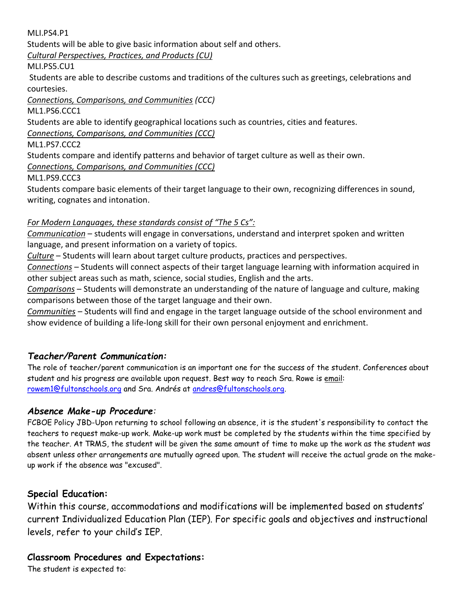MLI.PS4.P1

Students will be able to give basic information about self and others.

Cultural Perspectives, Practices, and Products (CU)

MLI.PS5.CU1

 Students are able to describe customs and traditions of the cultures such as greetings, celebrations and courtesies.

Connections, Comparisons, and Communities (CCC)

ML1.PS6.CCC1

Students are able to identify geographical locations such as countries, cities and features.

Connections, Comparisons, and Communities (CCC)

ML1.PS7.CCC2

Students compare and identify patterns and behavior of target culture as well as their own.

Connections, Comparisons, and Communities (CCC)

ML1.PS9.CCC3

Students compare basic elements of their target language to their own, recognizing differences in sound, writing, cognates and intonation.

### For Modern Languages, these standards consist of "The 5 Cs":

Communication - students will engage in conversations, understand and interpret spoken and written language, and present information on a variety of topics.

Culture – Students will learn about target culture products, practices and perspectives.

Connections – Students will connect aspects of their target language learning with information acquired in other subject areas such as math, science, social studies, English and the arts.

Comparisons – Students will demonstrate an understanding of the nature of language and culture, making comparisons between those of the target language and their own.

Communities - Students will find and engage in the target language outside of the school environment and show evidence of building a life-long skill for their own personal enjoyment and enrichment.

## Teacher/Parent Communication:

The role of teacher/parent communication is an important one for the success of the student. Conferences about student and his progress are available upon request. Best way to reach Sra. Rowe is email: rowem1@fultonschools.org and Sra. Andrés at andres@fultonschools.org.

### Absence Make-up Procedure:

FCBOE Policy JBD-Upon returning to school following an absence, it is the student's responsibility to contact the teachers to request make-up work. Make-up work must be completed by the students within the time specified by the teacher. At TRMS, the student will be given the same amount of time to make up the work as the student was absent unless other arrangements are mutually agreed upon. The student will receive the actual grade on the makeup work if the absence was "excused".

## Special Education:

Within this course, accommodations and modifications will be implemented based on students' current Individualized Education Plan (IEP). For specific goals and objectives and instructional levels, refer to your child's IEP.

### Classroom Procedures and Expectations:

The student is expected to: